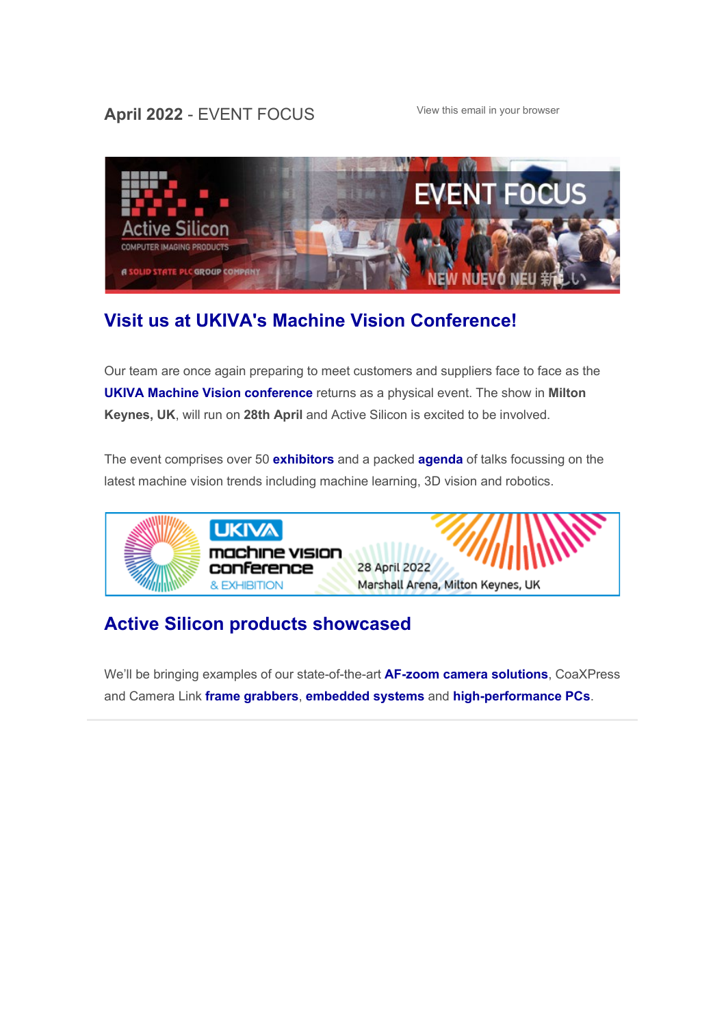## April 2022 - EVENT FOCUS [View this email in your browser](https://mailchi.mp/activesilicon/join-us-at-the-ukiva-machine-vision-conference-4fop7kb3bb?e=f751110180)



# **[Visit us at UKIVA's Machine Vision Conference!](https://www.machinevisionconference.co.uk/)**

Our team are once again preparing to meet customers and suppliers face to face as the **[UKIVA Machine Vision conference](https://www.machinevisionconference.co.uk/)** returns as a physical event. The show in **Milton Keynes, UK**, will run on **28th April** and Active Silicon is excited to be involved.

The event comprises over 50 **[exhibitors](https://www.machinevisionconference.co.uk/exhibitors/)** and a packed **[agenda](https://www.machinevisionconference.co.uk/programme/)** of talks focussing on the latest machine vision trends including machine learning, 3D vision and robotics.



## **[Active Silicon products showcased](https://www.activesilicon.com/company/events/ukiva-machine-vision-conference-2021/)**

We'll be bringing examples of our state-of-the-art **[AF-zoom](https://www.activesilicon.com/products/cameras/) [camera solutions](https://www.activesilicon.com/products/cameras/)**, CoaXPress and Camera Link **[frame grabbers](https://www.activesilicon.com/products/frame-grabbers/)**, **[embedded systems](https://www.activesilicon.com/products/embedded-systems/)** and **[high-performance PCs](https://www.steatite-embedded.co.uk/product_categories/fanless-computers/high-performance-fanless-pcs/)**.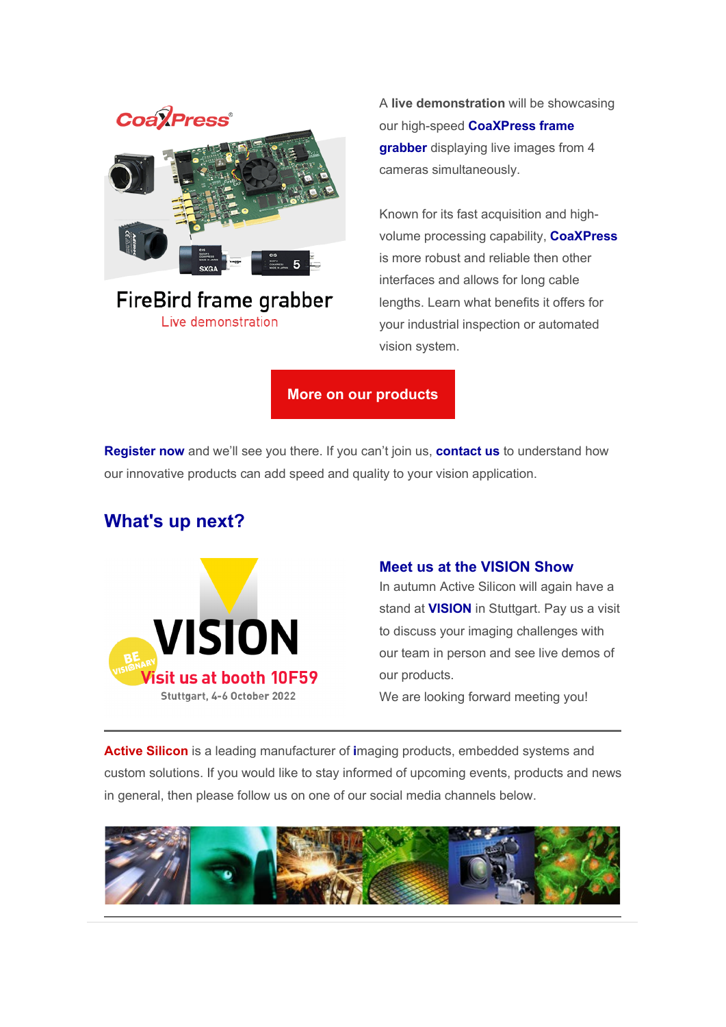# **Coa**<sup>*l*</sup>Press<sup>®</sup>

## **FireBird frame grabber** Live demonstration

A **live demonstration** will be showcasing our high-speed **[CoaXPress frame](https://www.activesilicon.com/products/firebird-coaxpress-frame-grabber-4xcxp12-3pe8/)  [grabber](https://www.activesilicon.com/products/firebird-coaxpress-frame-grabber-4xcxp12-3pe8/)** displaying live images from 4 cameras simultaneously.

Known for its fast acquisition and highvolume processing capability, **[CoaXPress](https://www.activesilicon.com/resources/coaxpress/)** is more robust and reliable then other interfaces and allows for long cable lengths. Learn what benefits it offers for your industrial inspection or automated vision system.

**[More on our products](https://www.activesilicon.com/products/products-overview/)**

**[Register now](https://rfg.circdata.com/publish/MVC22/?_ga=2.235977921.1997018472.1649832685-93946313.1643787386&_gac=1.204218660.1649832685.EAIaIQobChMItYeg1rmQ9wIVB-3tCh0OfQcqEAAYAiAAEgL0MPD_BwE)** and we'll see you there. If you can't join us, **[contact us](https://www.activesilicon.com/contact-us/)** to understand how our innovative products can add speed and quality to your vision application.

## **What's up next?**



### **Meet us at the VISION Show**

In autumn Active Silicon will again have a stand at **[VISION](https://www.messe-stuttgart.de/vision/en)** in Stuttgart. Pay us a visit to discuss your imaging challenges with our team in person and see live demos of our products.

We are looking forward meeting you!

**[Active Silicon](https://www.activesilicon.com/)** is a leading manufacturer of **[i](https://www.activesilicon.com/products/products-overview/)**maging products, embedded systems and custom solutions. If you would like to stay informed of upcoming events, products and news in general, then please follow us on one of our social media channels below.